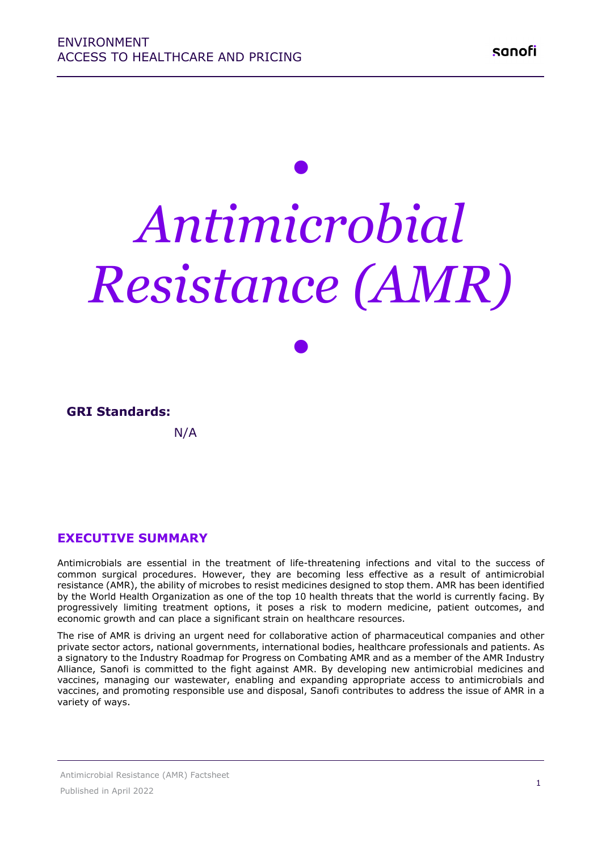# *• Antimicrobial Resistance (AMR)*

*•*

## **GRI Standards:**

N/A

## **EXECUTIVE SUMMARY**

Antimicrobials are essential in the treatment of life-threatening infections and vital to the success of common surgical procedures. However, they are becoming less effective as a result of antimicrobial resistance (AMR), the ability of microbes to resist medicines designed to stop them. AMR has been identified by the World Health Organization as one of the top 10 health threats that the world is currently facing. By progressively limiting treatment options, it poses a risk to modern medicine, patient outcomes, and economic growth and can place a significant strain on healthcare resources.

The rise of AMR is driving an urgent need for collaborative action of pharmaceutical companies and other private sector actors, national governments, international bodies, healthcare professionals and patients. As a signatory to the Industry Roadmap for Progress on Combating AMR and as a member of the AMR Industry Alliance, Sanofi is committed to the fight against AMR. By developing new antimicrobial medicines and vaccines, managing our wastewater, enabling and expanding appropriate access to antimicrobials and vaccines, and promoting responsible use and disposal, Sanofi contributes to address the issue of AMR in a variety of ways.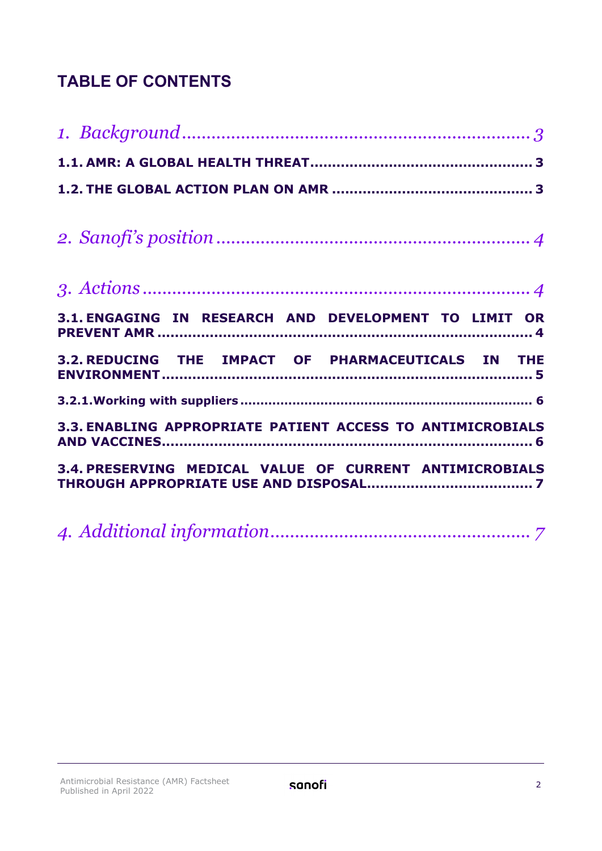## **TABLE OF CONTENTS**

|--|--|--|--|

|  | 3.1. ENGAGING IN RESEARCH AND DEVELOPMENT TO LIMIT OR      |  |
|--|------------------------------------------------------------|--|
|  | 3.2. REDUCING THE IMPACT OF PHARMACEUTICALS IN THE         |  |
|  |                                                            |  |
|  | 3.3. ENABLING APPROPRIATE PATIENT ACCESS TO ANTIMICROBIALS |  |
|  | 3.4. PRESERVING MEDICAL VALUE OF CURRENT ANTIMICROBIALS    |  |

*4. [Additional information.....................................................](#page-6-1) 7*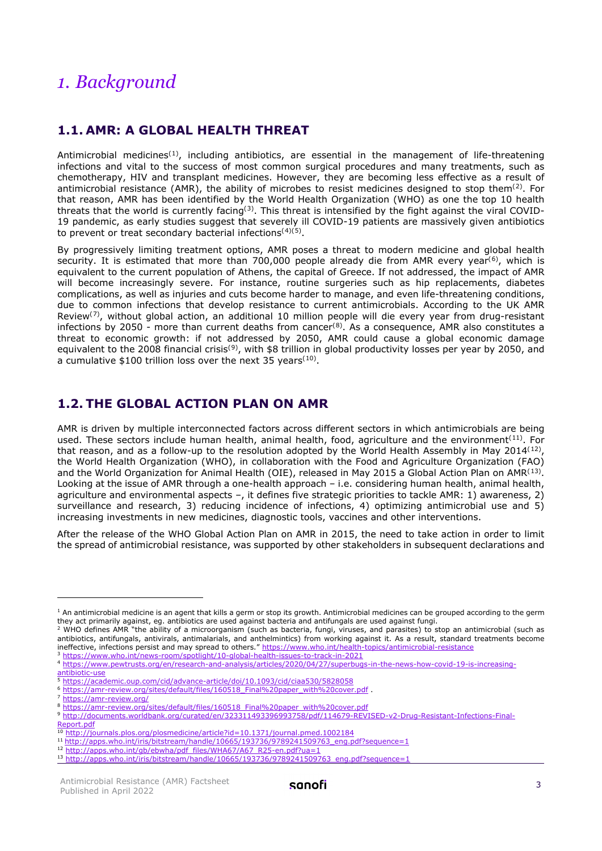## <span id="page-2-0"></span>*1. Background*

#### <span id="page-2-1"></span>**1.1. AMR: A GLOBAL HEALTH THREAT**

Antimicrobial medicines<sup>([1\)](#page-2-3)</sup>, including antibiotics, are essential in the management of life-threatening infections and vital to the success of most common surgical procedures and many treatments, such as chemotherapy, HIV and transplant medicines. However, they are becoming less effective as a result of antimicrobial resistance (AMR), the ability of microbes to resist medicines designed to stop them $^{(2)}$  $^{(2)}$  $^{(2)}$ . For that reason, AMR has been identified by the World Health Organization (WHO) as one the top 10 health threats that the world is currently facing<sup>([3](#page-2-5))</sup>. This threat is intensified by the fight against the viral COVID-19 pandemic, as early studies suggest that severely ill COVID-19 patients are massively given antibiotics to prevent or treat secondary bacterial infections<sup>([4\)](#page-2-6)([5](#page-2-7))</sup>.

By progressively limiting treatment options, AMR poses a threat to modern medicine and global health security. It is estimated that more than 700,000 people already die from AMR every year<sup>([6](#page-2-8))</sup>, which is equivalent to the current population of Athens, the capital of Greece. If not addressed, the impact of AMR will become increasingly severe. For instance, routine surgeries such as hip replacements, diabetes complications, as well as injuries and cuts become harder to manage, and even life-threatening conditions, due to common infections that develop resistance to current antimicrobials. According to the UK AMR Review<sup>([7\)](#page-2-9)</sup>, without global action, an additional 10 million people will die every year from drug-resistant infections by 2050 - more than current deaths from cancer<sup>([8\)](#page-2-10)</sup>. As a consequence, AMR also constitutes a threat to economic growth: if not addressed by 2050, AMR could cause a global economic damage equivalent to the 2008 financial crisis<sup>([9\)](#page-2-11)</sup>, with \$8 trillion in global productivity losses per year by 2050, and a cumulative \$[10](#page-2-12)0 trillion loss over the next 35 years<sup>(10)</sup>.

## <span id="page-2-2"></span>**1.2. THE GLOBAL ACTION PLAN ON AMR**

AMR is driven by multiple interconnected factors across different sectors in which antimicrobials are being used. These sectors include human health, animal health, food, agriculture and the environment<sup>([11](#page-2-13))</sup>. For that reason, and as a follow-up to the resolution adopted by the World Health Assembly in May 2014 $^{\rm (12)}$  $^{\rm (12)}$  $^{\rm (12)}$ , the World Health Organization (WHO), in collaboration with the Food and Agriculture Organization (FAO) and the World Organization for Animal Health (OIE), released in May 2015 a Global Action Plan on AMR<sup>([13\)](#page-2-15)</sup>. Looking at the issue of AMR through a one-health approach – i.e. considering human health, animal health, agriculture and environmental aspects –, it defines five strategic priorities to tackle AMR: 1) awareness, 2) surveillance and research, 3) reducing incidence of infections, 4) optimizing antimicrobial use and 5) increasing investments in new medicines, diagnostic tools, vaccines and other interventions.

After the release of the WHO Global Action Plan on AMR in 2015, the need to take action in order to limit the spread of antimicrobial resistance, was supported by other stakeholders in subsequent declarations and

<span id="page-2-3"></span> $1$  An antimicrobial medicine is an agent that kills a germ or stop its growth. Antimicrobial medicines can be grouped according to the germ they act primarily against, eg. antibiotics are used against bacteria and antifungals are used against fungi.

<span id="page-2-4"></span><sup>2</sup> WHO defines AMR "the ability of a microorganism (such as bacteria, fungi, viruses, and parasites) to stop an antimicrobial (such as antibiotics, antifungals, antivirals, antimalarials, and anthelmintics) from working against it. As a result, standard treatments become ineffective, infections persist and may spread to others."<https://www.who.int/health-topics/antimicrobial-resistance><sup>3</sup> https://www.who.int/news-room/spotlight/10-global-health-issues-to-track-in-2021

<span id="page-2-6"></span><span id="page-2-5"></span><sup>3</sup> <https://www.who.int/news-room/spotlight/10-global-health-issues-to-track-in-2021>4 [https://www.pewtrusts.org/en/research-and-analysis/articles/2020/04/27/superbugs-in-the-news-how-covid-19-is-increasing](https://www.pewtrusts.org/en/research-and-analysis/articles/2020/04/27/superbugs-in-the-news-how-covid-19-is-increasing-antibiotic-use)[antibiotic-use](https://www.pewtrusts.org/en/research-and-analysis/articles/2020/04/27/superbugs-in-the-news-how-covid-19-is-increasing-antibiotic-use)<br>5 https://academic.oup.com/cid/advance-article/doi/10.1093/cid/ciaa530/5828058

<span id="page-2-7"></span>

<span id="page-2-9"></span><span id="page-2-8"></span><sup>5</sup> <https://amr-review.org/>sites/default/files/160518\_Final%20paper\_with%20cover.pdf<br>7 https://amr-review.org/<br>8 https://amr-review.org/sites/default/files/160518\_Final%20paper\_with%20cover.pdf

<span id="page-2-10"></span>

<sup>9</sup> [http://documents.worldbank.org/curated/en/323311493396993758/pdf/114679-REVISED-v2-Drug-Resistant-Infections-Final-](http://documents.worldbank.org/curated/en/323311493396993758/pdf/114679-REVISED-v2-Drug-Resistant-Infections-Final-Report.pdf)[Report.pdf](http://documents.worldbank.org/curated/en/323311493396993758/pdf/114679-REVISED-v2-Drug-Resistant-Infections-Final-Report.pdf)

<span id="page-2-13"></span><span id="page-2-12"></span><span id="page-2-11"></span><sup>10</sup> <http://journals.plos.org/plosmedicine/article?id=10.1371/journal.pmed.1002184>

<span id="page-2-15"></span><span id="page-2-14"></span><sup>&</sup>lt;sup>12</sup> http://apps.who.int/gb/ebwha/pdf\_files/WHA67/A67\_R25-en.pdf?ua=1<br><sup>13</sup> http://apps.who.int/iris/bitstream/handle/10665/193736/9789241509763\_enq.pdf?sequence=1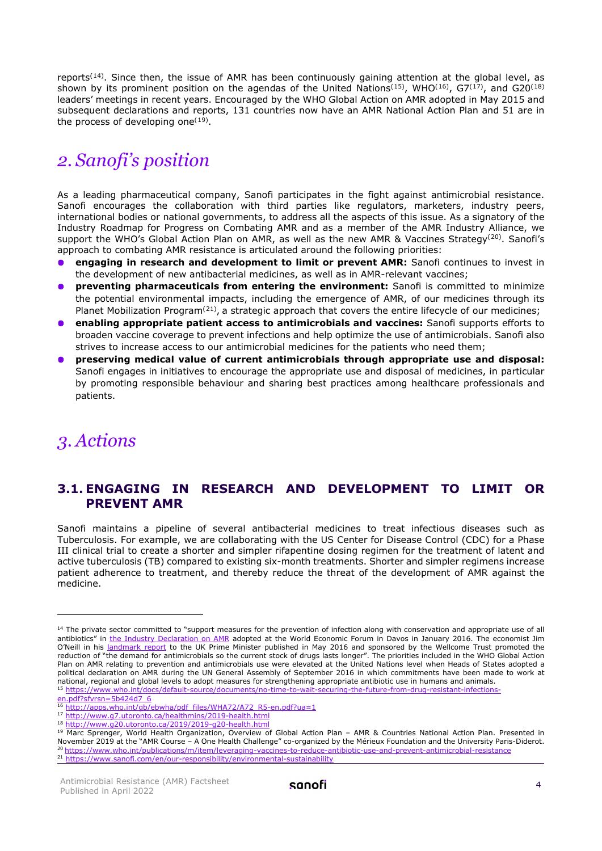reports<sup>([14\)](#page-3-3)</sup>. Since then, the issue of AMR has been continuously gaining attention at the global level, as shown by its prominent position on the agendas of the United Nations<sup>([15](#page-3-4))</sup>, WHO<sup>([16](#page-3-5))</sup>, G7<sup>([17](#page-3-6))</sup>, and G20<sup>([18\)](#page-3-7)</sup> leaders' meetings in recent years. Encouraged by the WHO Global Action on AMR adopted in May 2015 and subsequent declarations and reports, 131 countries now have an AMR National Action Plan and 51 are in the process of developing one<sup>([19](#page-3-8))</sup>.

## <span id="page-3-0"></span>*2. Sanofi's position*

As a leading pharmaceutical company, Sanofi participates in the fight against antimicrobial resistance. Sanofi encourages the collaboration with third parties like regulators, marketers, industry peers, international bodies or national governments, to address all the aspects of this issue. As a signatory of the Industry Roadmap for Progress on Combating AMR and as a member of the AMR Industry Alliance, we support the WHO's Global Action Plan on AMR, as well as the new AMR & Vaccines Strategy<sup>([20](#page-3-9))</sup>. Sanofi's approach to combating AMR resistance is articulated around the following priorities:

- **engaging in research and development to limit or prevent AMR:** Sanofi continues to invest in the development of new antibacterial medicines, as well as in AMR-relevant vaccines;
- **preventing pharmaceuticals from entering the environment:** Sanofi is committed to minimize the potential environmental impacts, including the emergence of AMR, of our medicines through its Planet Mobilization Program<sup>([21\)](#page-3-10)</sup>, a strategic approach that covers the entire lifecycle of our medicines;
- **enabling appropriate patient access to antimicrobials and vaccines:** Sanofi supports efforts to broaden vaccine coverage to prevent infections and help optimize the use of antimicrobials. Sanofi also strives to increase access to our antimicrobial medicines for the patients who need them;
- **preserving medical value of current antimicrobials through appropriate use and disposal:** Sanofi engages in initiatives to encourage the appropriate use and disposal of medicines, in particular by promoting responsible behaviour and sharing best practices among healthcare professionals and patients.

## <span id="page-3-1"></span>*3. Actions*

#### <span id="page-3-2"></span>**3.1. ENGAGING IN RESEARCH AND DEVELOPMENT TO LIMIT OR PREVENT AMR**

Sanofi maintains a pipeline of several antibacterial medicines to treat infectious diseases such as Tuberculosis. For example, we are collaborating with the US Center for Disease Control (CDC) for a Phase III clinical trial to create a shorter and simpler rifapentine dosing regimen for the treatment of latent and active tuberculosis (TB) compared to existing six-month treatments. Shorter and simpler regimens increase patient adherence to treatment, and thereby reduce the threat of the development of AMR against the medicine.

<span id="page-3-3"></span><sup>&</sup>lt;sup>14</sup> The private sector committed to "support measures for the prevention of infection along with conservation and appropriate use of all antibiotics" in [the Industry Declaration on AMR](https://www.amrindustryalliance.org/amr-industry-alliance-declaration/) adopted at the World Economic Forum in Davos in January 2016. The economist Jim O'Neill in his [landmark report](https://amr-review.org/sites/default/files/160518_Final%20paper_with%20cover.pdf) to the UK Prime Minister published in May 2016 and sponsored by the Wellcome Trust promoted the reduction of "the demand for antimicrobials so the current stock of drugs lasts longer". The priorities included in the WHO Global Action Plan on AMR relating to prevention and antimicrobials use were elevated at the United Nations level when Heads of States adopted a political declaration on AMR during the UN General Assembly of September 2016 in which commitments have been made to work at national, regional and global levels to adopt measures for strengthening appropriate antibiotic u <sup>15</sup> https://www.who.int/docs/default-source/documents/no-time-to-wait-securing-the-future-from-drug-resistant-infections-<br>en.ndf?sfvrsn=5h424d7\_6

<span id="page-3-8"></span><span id="page-3-7"></span>

<span id="page-3-6"></span><span id="page-3-5"></span><span id="page-3-4"></span><sup>&</sup>lt;sup>16</sup> http://apps.who.int/gb/ebwha/pdf files/WHA72/A72 R5-en.pdf?ua=1<br><sup>17</sup> http://www.g7.utoronto.ca/healthmins/2019-health.html<br><sup>18</sup> http://www.g20.utoronto.ca/2019/2019-g20-health.html<br><sup>19</sup> Marc Sprenger, World Health Org 20 https://www.who.int/publications/m/item/leveraging-vaccines-to-reduce-antibiotic-use-and-prevent-antimicrobial-resistance<br>21 https://www.sanofi.com/en/our-responsibility/environmental-sustainability

<span id="page-3-10"></span><span id="page-3-9"></span>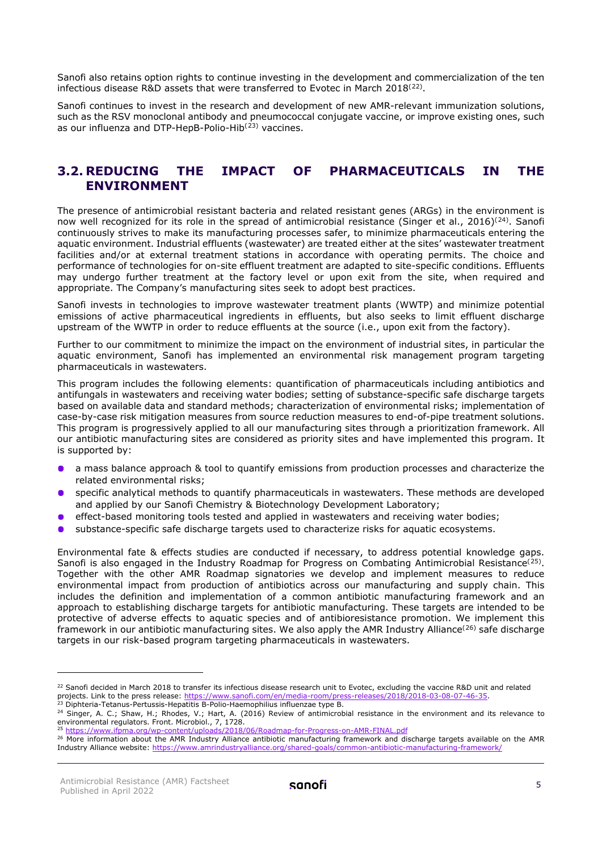Sanofi also retains option rights to continue investing in the development and commercialization of the ten infectious disease R&D assets that were transferred to Evotec in March 2018<sup>([22](#page-4-1))</sup>.

Sanofi continues to invest in the research and development of new AMR-relevant immunization solutions, such as the RSV monoclonal antibody and pneumococcal conjugate vaccine, or improve existing ones, such as our influenza and DTP-HepB-Polio-Hib<sup>([23\)](#page-4-2)</sup> vaccines.

#### <span id="page-4-0"></span>**3.2. REDUCING THE IMPACT OF PHARMACEUTICALS IN THE ENVIRONMENT**

The presence of antimicrobial resistant bacteria and related resistant genes (ARGs) in the environment is now well recognized for its role in the spread of antimicrobial resistance (Singer et al., 2016)<sup>([24](#page-4-3))</sup>. Sanofi continuously strives to make its manufacturing processes safer, to minimize pharmaceuticals entering the aquatic environment. Industrial effluents (wastewater) are treated either at the sites' wastewater treatment facilities and/or at external treatment stations in accordance with operating permits. The choice and performance of technologies for on-site effluent treatment are adapted to site-specific conditions. Effluents may undergo further treatment at the factory level or upon exit from the site, when required and appropriate. The Company's manufacturing sites seek to adopt best practices.

Sanofi invests in technologies to improve wastewater treatment plants (WWTP) and minimize potential emissions of active pharmaceutical ingredients in effluents, but also seeks to limit effluent discharge upstream of the WWTP in order to reduce effluents at the source (i.e., upon exit from the factory).

Further to our commitment to minimize the impact on the environment of industrial sites, in particular the aquatic environment, Sanofi has implemented an environmental risk management program targeting pharmaceuticals in wastewaters.

This program includes the following elements: quantification of pharmaceuticals including antibiotics and antifungals in wastewaters and receiving water bodies; setting of substance-specific safe discharge targets based on available data and standard methods; characterization of environmental risks; implementation of case-by-case risk mitigation measures from source reduction measures to end-of-pipe treatment solutions. This program is progressively applied to all our manufacturing sites through a prioritization framework. All our antibiotic manufacturing sites are considered as priority sites and have implemented this program. It is supported by:

- a mass balance approach & tool to quantify emissions from production processes and characterize the related environmental risks;
- **•** specific analytical methods to quantify pharmaceuticals in wastewaters. These methods are developed and applied by our Sanofi Chemistry & Biotechnology Development Laboratory;
- effect-based monitoring tools tested and applied in wastewaters and receiving water bodies;
- $\blacksquare$ substance-specific safe discharge targets used to characterize risks for aquatic ecosystems.

Environmental fate & effects studies are conducted if necessary, to address potential knowledge gaps. Sanofi is also engaged in the Industry Roadmap for Progress on Combating Antimicrobial Resistance<sup>([25\)](#page-4-4)</sup>. Together with the other AMR Roadmap signatories we develop and implement measures to reduce environmental impact from production of antibiotics across our manufacturing and supply chain. This includes the definition and implementation of a common antibiotic manufacturing framework and an approach to establishing discharge targets for antibiotic manufacturing. These targets are intended to be protective of adverse effects to aquatic species and of antibioresistance promotion. We implement this framework in our antibiotic manufacturing sites. We also apply the AMR Industry Alliance<sup>([26](#page-4-5))</sup> safe discharge targets in our risk-based program targeting pharmaceuticals in wastewaters.

<span id="page-4-1"></span><sup>&</sup>lt;sup>22</sup> Sanofi decided in March 2018 to transfer its infectious disease research unit to Evotec, excluding the vaccine R&D unit and related projects. Link to the press release: https://www.sanofi.com/en/media-room/press-releases/2018/2018-03-08-07-46-35<br><sup>23</sup> Diphteria-Tetanus-Pertussis-Hepatitis B-Polio-Haemophilius influenzae type B.

<span id="page-4-3"></span><span id="page-4-2"></span><sup>24</sup> Singer, A. C.; Shaw, H.; Rhodes, V.; Hart, A. (2016) Review of antimicrobial resistance in the environment and its relevance to environmental regulators. Front. Microbiol., 7, 1728.

<span id="page-4-4"></span><sup>25</sup> <https://www.ifpma.org/wp-content/uploads/2018/06/Roadmap-for-Progress-on-AMR-FINAL.pdf>

<span id="page-4-5"></span><sup>26</sup> More information about the AMR Industry Alliance antibiotic manufacturing framework and discharge targets available on the AMR Industry Alliance website[: https://www.amrindustryalliance.org/shared-goals/common-antibiotic-manufacturing-framework/](https://www.amrindustryalliance.org/shared-goals/common-antibiotic-manufacturing-framework/)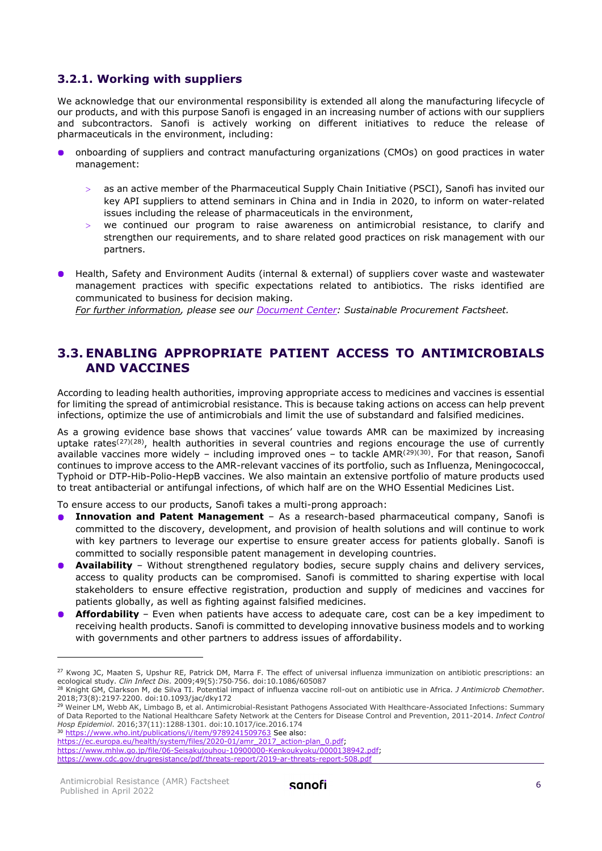#### <span id="page-5-0"></span>**3.2.1. Working with suppliers**

We acknowledge that our environmental responsibility is extended all along the manufacturing lifecycle of our products, and with this purpose Sanofi is engaged in an increasing number of actions with our suppliers and subcontractors. Sanofi is actively working on different initiatives to reduce the release of pharmaceuticals in the environment, including:

- $\bullet$ onboarding of suppliers and contract manufacturing organizations (CMOs) on good practices in water management:
	- as an active member of the Pharmaceutical Supply Chain Initiative (PSCI), Sanofi has invited our key API suppliers to attend seminars in China and in India in 2020, to inform on water-related issues including the release of pharmaceuticals in the environment,
	- we continued our program to raise awareness on antimicrobial resistance, to clarify and strengthen our requirements, and to share related good practices on risk management with our partners.
- **•** Health, Safety and Environment Audits (internal & external) of suppliers cover waste and wastewater management practices with specific expectations related to antibiotics. The risks identified are communicated to business for decision making.

*For further information, please see our [Document Center:](https://www.sanofi.com/en/our-responsibility/documents-center/duty-of-vigilance-and-supply-chain) Sustainable Procurement Factsheet.* 

## <span id="page-5-1"></span>**3.3. ENABLING APPROPRIATE PATIENT ACCESS TO ANTIMICROBIALS AND VACCINES**

According to leading health authorities, improving appropriate access to medicines and vaccines is essential for limiting the spread of antimicrobial resistance. This is because taking actions on access can help prevent infections, optimize the use of antimicrobials and limit the use of substandard and falsified medicines.

As a growing evidence base shows that vaccines' value towards AMR can be maximized by increasing uptake rates<sup>([27](#page-5-2))([28\)](#page-5-3)</sup>, health authorities in several countries and regions encourage the use of currently available vaccines more widely – including improved ones – to tackle AMR<sup>([29\)](#page-5-4)([30](#page-5-5))</sup>. For that reason, Sanofi continues to improve access to the AMR-relevant vaccines of its portfolio, such as Influenza, Meningococcal, Typhoid or DTP-Hib-Polio-HepB vaccines. We also maintain an extensive portfolio of mature products used to treat antibacterial or antifungal infections, of which half are on the WHO Essential Medicines List.

To ensure access to our products, Sanofi takes a multi-prong approach:

- **Innovation and Patent Management** As a research-based pharmaceutical company, Sanofi is  $\bullet$ committed to the discovery, development, and provision of health solutions and will continue to work with key partners to leverage our expertise to ensure greater access for patients globally. Sanofi is committed to socially responsible patent management in developing countries.
- **Availability** Without strengthened regulatory bodies, secure supply chains and delivery services, access to quality products can be compromised. Sanofi is committed to sharing expertise with local stakeholders to ensure effective registration, production and supply of medicines and vaccines for patients globally, as well as fighting against falsified medicines.
- **Affordability** Even when patients have access to adequate care, cost can be a key impediment to receiving health products. Sanofi is committed to developing innovative business models and to working with governments and other partners to address issues of affordability.

<span id="page-5-5"></span><sup>30</sup> <https://www.who.int/publications/i/item/9789241509763> See also:

<https://www.cdc.gov/drugresistance/pdf/threats-report/2019-ar-threats-report-508.pdf>

<span id="page-5-2"></span><sup>&</sup>lt;sup>27</sup> Kwong JC, Maaten S, Upshur RE, Patrick DM, Marra F. The effect of universal influenza immunization on antibiotic prescriptions: an ecological study. *Clin Infect Dis.* 2009;49(5):750-756. doi:10.1086/605087

<span id="page-5-3"></span><sup>&</sup>lt;sup>28</sup> Knight GM, Clarkson M, de Silva TI. Potential impact of influenza vaccine roll-out on antibiotic use in Africa. *J Antimicrob Chemother*.<br>2018;73(8):2197-2200. doi:10.1093/jac/dky172

<span id="page-5-4"></span><sup>&</sup>lt;sup>29</sup> Weiner LM, Webb AK, Limbago B, et al. Antimicrobial-Resistant Pathogens Associated With Healthcare-Associated Infections: Summary of Data Reported to the National Healthcare Safety Network at the Centers for Disease Control and Prevention, 2011-2014. *Infect Control* 

[https://ec.europa.eu/health/system/files/2020-01/amr\\_2017\\_action-plan\\_0.pdf;](https://ec.europa.eu/health/system/files/2020-01/amr_2017_action-plan_0.pdf)

[https://www.mhlw.go.jp/file/06-Seisakujouhou-10900000-Kenkoukyoku/0000138942.pdf;](https://www.mhlw.go.jp/file/06-Seisakujouhou-10900000-Kenkoukyoku/0000138942.pdf)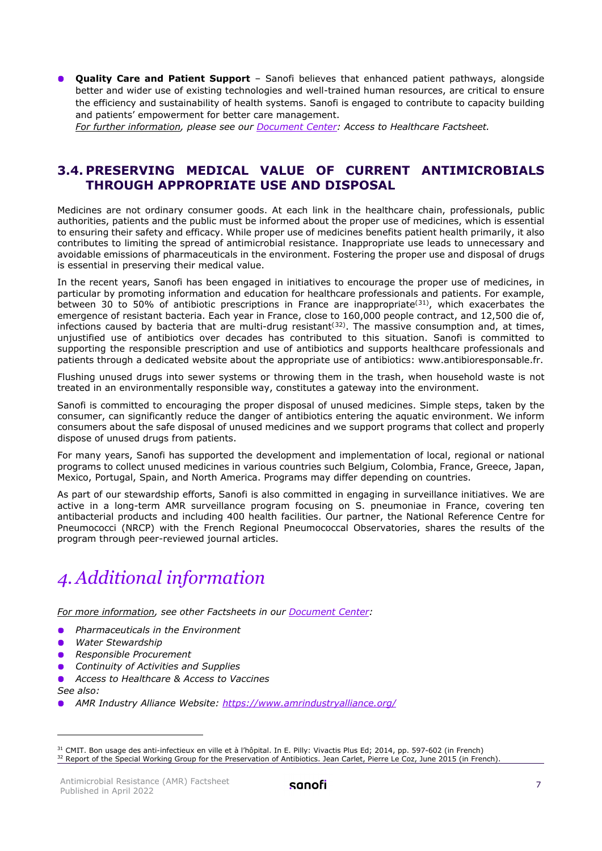**Quality Care and Patient Support** - Sanofi believes that enhanced patient pathways, alongside better and wider use of existing technologies and well-trained human resources, are critical to ensure the efficiency and sustainability of health systems. Sanofi is engaged to contribute to capacity building and patients' empowerment for better care management.

*For further information, please see our [Document Center:](https://www.sanofi.com/en/our-responsibility/documents-center/access-to-healthcare-and-pricing) Access to Healthcare Factsheet.* 

#### <span id="page-6-0"></span>**3.4. PRESERVING MEDICAL VALUE OF CURRENT ANTIMICROBIALS THROUGH APPROPRIATE USE AND DISPOSAL**

Medicines are not ordinary consumer goods. At each link in the healthcare chain, professionals, public authorities, patients and the public must be informed about the proper use of medicines, which is essential to ensuring their safety and efficacy. While proper use of medicines benefits patient health primarily, it also contributes to limiting the spread of antimicrobial resistance. Inappropriate use leads to unnecessary and avoidable emissions of pharmaceuticals in the environment. Fostering the proper use and disposal of drugs is essential in preserving their medical value.

In the recent years, Sanofi has been engaged in initiatives to encourage the proper use of medicines, in particular by promoting information and education for healthcare professionals and patients. For example, between 30 to 50% of antibiotic prescriptions in France are inappropriate<sup>([31\)](#page-6-2)</sup>, which exacerbates the emergence of resistant bacteria. Each year in France, close to 160,000 people contract, and 12,500 die of, infections caused by bacteria that are multi-drug resistant<sup>([32](#page-6-3))</sup>. The massive consumption and, at times, unjustified use of antibiotics over decades has contributed to this situation. Sanofi is committed to supporting the responsible prescription and use of antibiotics and supports healthcare professionals and patients through a dedicated website about the appropriate use of antibiotics: www.antibioresponsable.fr.

Flushing unused drugs into sewer systems or throwing them in the trash, when household waste is not treated in an environmentally responsible way, constitutes a gateway into the environment.

Sanofi is committed to encouraging the proper disposal of unused medicines. Simple steps, taken by the consumer, can significantly reduce the danger of antibiotics entering the aquatic environment. We inform consumers about the safe disposal of unused medicines and we support programs that collect and properly dispose of unused drugs from patients.

For many years, Sanofi has supported the development and implementation of local, regional or national programs to collect unused medicines in various countries such Belgium, Colombia, France, Greece, Japan, Mexico, Portugal, Spain, and North America. Programs may differ depending on countries.

As part of our stewardship efforts, Sanofi is also committed in engaging in surveillance initiatives. We are active in a long-term AMR surveillance program focusing on S. pneumoniae in France, covering ten antibacterial products and including 400 health facilities. Our partner, the National Reference Centre for Pneumococci (NRCP) with the French Regional Pneumococcal Observatories, shares the results of the program through peer-reviewed journal articles.

## <span id="page-6-1"></span>*4.Additional information*

*For more information, see other Factsheets in our [Document Center:](https://www.sanofi.com/en/our-responsibility/documents-center/)* 

- *Pharmaceuticals in the Environment*
- *Water Stewardship*  $\bullet$
- **•** Responsible Procurement
- *Continuity of Activities and Supplies*
- *Access to Healthcare & Access to Vaccines*

*See also:* 

*AMR Industry Alliance Website:<https://www.amrindustryalliance.org/>*

<span id="page-6-3"></span><span id="page-6-2"></span><sup>31</sup> CMIT. Bon usage des anti-infectieux en ville et à l'hôpital. In E. Pilly: Vivactis Plus Ed; 2014, pp. 597-602 (in French) 32 Report of the Special Working Group for the Preservation of Antibiotics. Jean Carlet, Pierre Le Coz, June 2015 (in French).